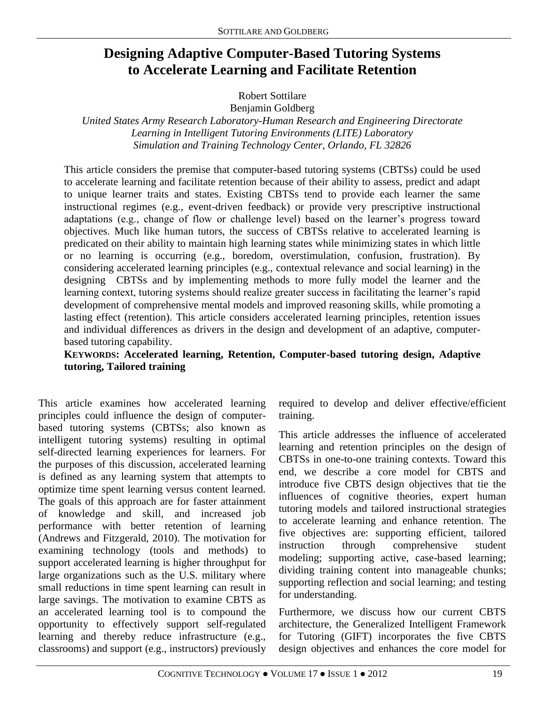# **Designing Adaptive Computer-Based Tutoring Systems to Accelerate Learning and Facilitate Retention**

Robert Sottilare

Benjamin Goldberg

*United States Army Research Laboratory-Human Research and Engineering Directorate Learning in Intelligent Tutoring Environments (LITE) Laboratory Simulation and Training Technology Center, Orlando, FL 32826*

This article considers the premise that computer-based tutoring systems (CBTSs) could be used to accelerate learning and facilitate retention because of their ability to assess, predict and adapt to unique learner traits and states. Existing CBTSs tend to provide each learner the same instructional regimes (e.g., event-driven feedback) or provide very prescriptive instructional adaptations (e.g., change of flow or challenge level) based on the learner's progress toward objectives. Much like human tutors, the success of CBTSs relative to accelerated learning is predicated on their ability to maintain high learning states while minimizing states in which little or no learning is occurring (e.g., boredom, overstimulation, confusion, frustration). By considering accelerated learning principles (e.g., contextual relevance and social learning) in the designing CBTSs and by implementing methods to more fully model the learner and the learning context, tutoring systems should realize greater success in facilitating the learner's rapid development of comprehensive mental models and improved reasoning skills, while promoting a lasting effect (retention). This article considers accelerated learning principles, retention issues and individual differences as drivers in the design and development of an adaptive, computerbased tutoring capability.

#### **KEYWORDS: Accelerated learning, Retention, Computer-based tutoring design, Adaptive tutoring, Tailored training**

This article examines how accelerated learning principles could influence the design of computerbased tutoring systems (CBTSs; also known as intelligent tutoring systems) resulting in optimal self-directed learning experiences for learners. For the purposes of this discussion, accelerated learning is defined as any learning system that attempts to optimize time spent learning versus content learned. The goals of this approach are for faster attainment of knowledge and skill, and increased job performance with better retention of learning (Andrews and Fitzgerald, 2010). The motivation for examining technology (tools and methods) to support accelerated learning is higher throughput for large organizations such as the U.S. military where small reductions in time spent learning can result in large savings. The motivation to examine CBTS as an accelerated learning tool is to compound the opportunity to effectively support self-regulated learning and thereby reduce infrastructure (e.g., classrooms) and support (e.g., instructors) previously required to develop and deliver effective/efficient training.

This article addresses the influence of accelerated learning and retention principles on the design of CBTSs in one-to-one training contexts. Toward this end, we describe a core model for CBTS and introduce five CBTS design objectives that tie the influences of cognitive theories, expert human tutoring models and tailored instructional strategies to accelerate learning and enhance retention. The five objectives are: supporting efficient, tailored instruction through comprehensive student modeling; supporting active, case-based learning; dividing training content into manageable chunks; supporting reflection and social learning; and testing for understanding.

Furthermore, we discuss how our current CBTS architecture, the Generalized Intelligent Framework for Tutoring (GIFT) incorporates the five CBTS design objectives and enhances the core model for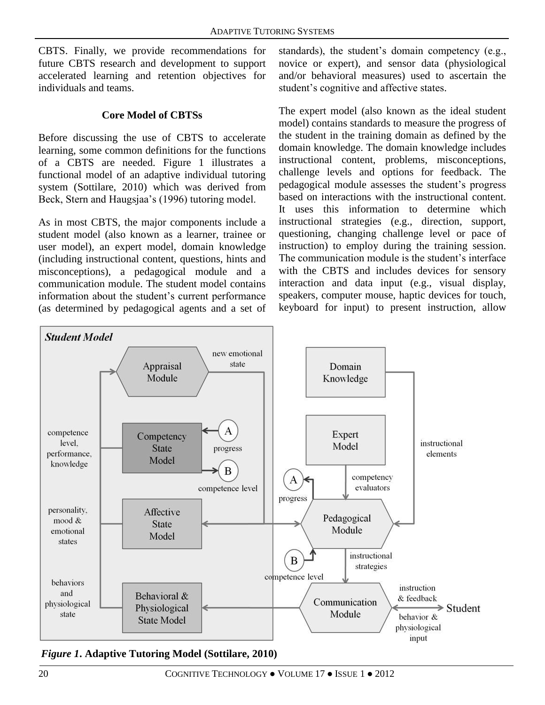CBTS. Finally, we provide recommendations for future CBTS research and development to support accelerated learning and retention objectives for individuals and teams.

#### **Core Model of CBTSs**

Before discussing the use of CBTS to accelerate learning, some common definitions for the functions of a CBTS are needed. Figure 1 illustrates a functional model of an adaptive individual tutoring system (Sottilare, 2010) which was derived from Beck, Stern and Haugsjaa's (1996) tutoring model.

As in most CBTS, the major components include a student model (also known as a learner, trainee or user model), an expert model, domain knowledge (including instructional content, questions, hints and misconceptions), a pedagogical module and a communication module. The student model contains information about the student's current performance (as determined by pedagogical agents and a set of

standards), the student's domain competency (e.g., novice or expert), and sensor data (physiological and/or behavioral measures) used to ascertain the student's cognitive and affective states.

The expert model (also known as the ideal student model) contains standards to measure the progress of the student in the training domain as defined by the domain knowledge. The domain knowledge includes instructional content, problems, misconceptions, challenge levels and options for feedback. The pedagogical module assesses the student's progress based on interactions with the instructional content. It uses this information to determine which instructional strategies (e.g., direction, support, questioning, changing challenge level or pace of instruction) to employ during the training session. The communication module is the student's interface with the CBTS and includes devices for sensory interaction and data input (e.g., visual display, speakers, computer mouse, haptic devices for touch, keyboard for input) to present instruction, allow



*Figure 1***. Adaptive Tutoring Model (Sottilare, 2010)**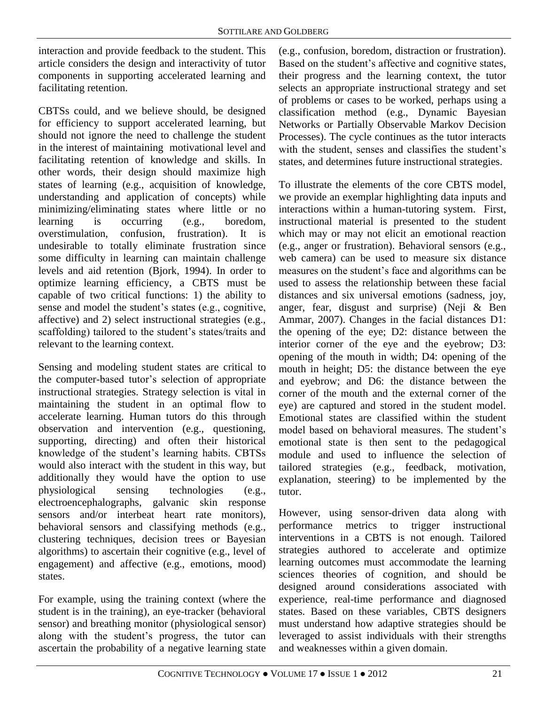interaction and provide feedback to the student. This article considers the design and interactivity of tutor components in supporting accelerated learning and facilitating retention.

CBTSs could, and we believe should, be designed for efficiency to support accelerated learning, but should not ignore the need to challenge the student in the interest of maintaining motivational level and facilitating retention of knowledge and skills. In other words, their design should maximize high states of learning (e.g., acquisition of knowledge, understanding and application of concepts) while minimizing/eliminating states where little or no learning is occurring (e.g., boredom, overstimulation, confusion, frustration). It is undesirable to totally eliminate frustration since some difficulty in learning can maintain challenge levels and aid retention (Bjork, 1994). In order to optimize learning efficiency, a CBTS must be capable of two critical functions: 1) the ability to sense and model the student's states (e.g., cognitive, affective) and 2) select instructional strategies (e.g., scaffolding) tailored to the student's states/traits and relevant to the learning context.

Sensing and modeling student states are critical to the computer-based tutor's selection of appropriate instructional strategies. Strategy selection is vital in maintaining the student in an optimal flow to accelerate learning. Human tutors do this through observation and intervention (e.g., questioning, supporting, directing) and often their historical knowledge of the student's learning habits. CBTSs would also interact with the student in this way, but additionally they would have the option to use physiological sensing technologies (e.g., electroencephalographs, galvanic skin response sensors and/or interbeat heart rate monitors), behavioral sensors and classifying methods (e.g., clustering techniques, decision trees or Bayesian algorithms) to ascertain their cognitive (e.g., level of engagement) and affective (e.g., emotions, mood) states.

For example, using the training context (where the student is in the training), an eye-tracker (behavioral sensor) and breathing monitor (physiological sensor) along with the student's progress, the tutor can ascertain the probability of a negative learning state

(e.g., confusion, boredom, distraction or frustration). Based on the student's affective and cognitive states, their progress and the learning context, the tutor selects an appropriate instructional strategy and set of problems or cases to be worked, perhaps using a classification method (e.g., Dynamic Bayesian Networks or Partially Observable Markov Decision Processes). The cycle continues as the tutor interacts with the student, senses and classifies the student's states, and determines future instructional strategies.

To illustrate the elements of the core CBTS model, we provide an exemplar highlighting data inputs and interactions within a human-tutoring system. First, instructional material is presented to the student which may or may not elicit an emotional reaction (e.g., anger or frustration). Behavioral sensors (e.g., web camera) can be used to measure six distance measures on the student's face and algorithms can be used to assess the relationship between these facial distances and six universal emotions (sadness, joy, anger, fear, disgust and surprise) (Neji & Ben Ammar, 2007). Changes in the facial distances D1: the opening of the eye; D2: distance between the interior corner of the eye and the eyebrow; D3: opening of the mouth in width; D4: opening of the mouth in height; D5: the distance between the eye and eyebrow; and D6: the distance between the corner of the mouth and the external corner of the eye) are captured and stored in the student model. Emotional states are classified within the student model based on behavioral measures. The student's emotional state is then sent to the pedagogical module and used to influence the selection of tailored strategies (e.g., feedback, motivation, explanation, steering) to be implemented by the tutor.

However, using sensor-driven data along with performance metrics to trigger instructional interventions in a CBTS is not enough. Tailored strategies authored to accelerate and optimize learning outcomes must accommodate the learning sciences theories of cognition, and should be designed around considerations associated with experience, real-time performance and diagnosed states. Based on these variables, CBTS designers must understand how adaptive strategies should be leveraged to assist individuals with their strengths and weaknesses within a given domain.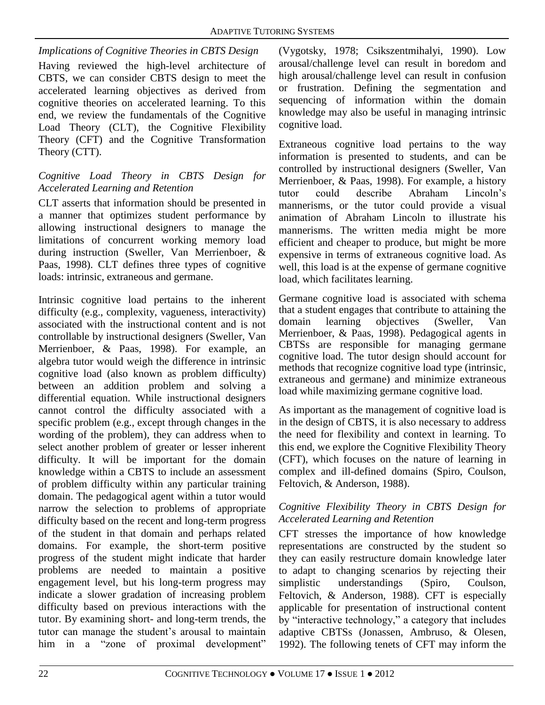*Implications of Cognitive Theories in CBTS Design* Having reviewed the high-level architecture of CBTS, we can consider CBTS design to meet the accelerated learning objectives as derived from cognitive theories on accelerated learning. To this end, we review the fundamentals of the Cognitive Load Theory (CLT), the Cognitive Flexibility Theory (CFT) and the Cognitive Transformation Theory (CTT).

## *Cognitive Load Theory in CBTS Design for Accelerated Learning and Retention*

CLT asserts that information should be presented in a manner that optimizes student performance by allowing instructional designers to manage the limitations of concurrent working memory load during instruction (Sweller, Van Merrienboer, & Paas, 1998). CLT defines three types of cognitive loads: intrinsic, extraneous and germane.

Intrinsic cognitive load pertains to the inherent difficulty (e.g., complexity, vagueness, interactivity) associated with the instructional content and is not controllable by instructional designers (Sweller, Van Merrienboer, & Paas, 1998). For example, an algebra tutor would weigh the difference in intrinsic cognitive load (also known as problem difficulty) between an addition problem and solving a differential equation. While instructional designers cannot control the difficulty associated with a specific problem (e.g., except through changes in the wording of the problem), they can address when to select another problem of greater or lesser inherent difficulty. It will be important for the domain knowledge within a CBTS to include an assessment of problem difficulty within any particular training domain. The pedagogical agent within a tutor would narrow the selection to problems of appropriate difficulty based on the recent and long-term progress of the student in that domain and perhaps related domains. For example, the short-term positive progress of the student might indicate that harder problems are needed to maintain a positive engagement level, but his long-term progress may indicate a slower gradation of increasing problem difficulty based on previous interactions with the tutor. By examining short- and long-term trends, the tutor can manage the student's arousal to maintain him in a "zone of proximal development"

(Vygotsky, 1978; Csikszentmihalyi, 1990). Low arousal/challenge level can result in boredom and high arousal/challenge level can result in confusion or frustration. Defining the segmentation and sequencing of information within the domain knowledge may also be useful in managing intrinsic cognitive load.

Extraneous cognitive load pertains to the way information is presented to students, and can be controlled by instructional designers (Sweller, Van Merrienboer, & Paas, 1998). For example, a history tutor could describe Abraham Lincoln's mannerisms, or the tutor could provide a visual animation of Abraham Lincoln to illustrate his mannerisms. The written media might be more efficient and cheaper to produce, but might be more expensive in terms of extraneous cognitive load. As well, this load is at the expense of germane cognitive load, which facilitates learning.

Germane cognitive load is associated with schema that a student engages that contribute to attaining the domain learning objectives (Sweller, Van Merrienboer, & Paas, 1998). Pedagogical agents in CBTSs are responsible for managing germane cognitive load. The tutor design should account for methods that recognize cognitive load type (intrinsic, extraneous and germane) and minimize extraneous load while maximizing germane cognitive load.

As important as the management of cognitive load is in the design of CBTS, it is also necessary to address the need for flexibility and context in learning. To this end, we explore the Cognitive Flexibility Theory (CFT), which focuses on the nature of learning in complex and ill-defined domains (Spiro, Coulson, Feltovich, & Anderson, 1988).

## *Cognitive Flexibility Theory in CBTS Design for Accelerated Learning and Retention*

CFT stresses the importance of how knowledge representations are constructed by the student so they can easily restructure domain knowledge later to adapt to changing scenarios by rejecting their simplistic understandings (Spiro, Coulson, Feltovich, & Anderson, 1988). CFT is especially applicable for presentation of instructional content by "interactive technology," a category that includes adaptive CBTSs (Jonassen, Ambruso, & Olesen, 1992). The following tenets of CFT may inform the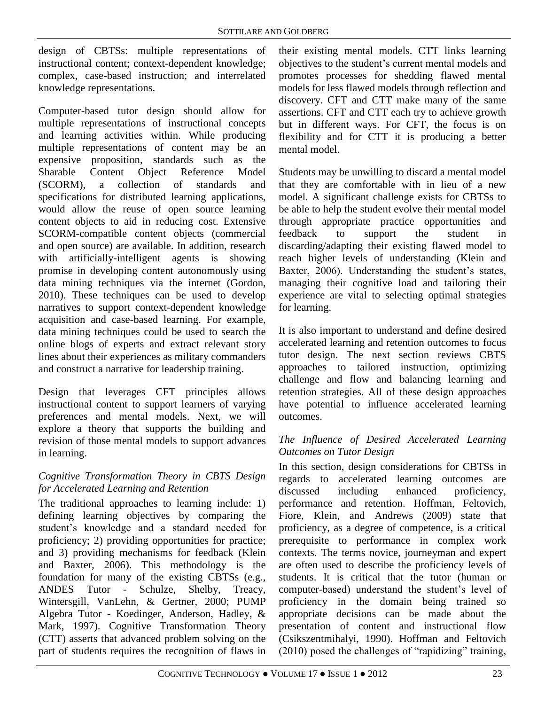design of CBTSs: multiple representations of instructional content; context-dependent knowledge; complex, case-based instruction; and interrelated knowledge representations.

Computer-based tutor design should allow for multiple representations of instructional concepts and learning activities within. While producing multiple representations of content may be an expensive proposition, standards such as the Sharable Content Object Reference Model (SCORM), a collection of standards and specifications for distributed learning applications, would allow the reuse of open source learning content objects to aid in reducing cost. Extensive SCORM-compatible content objects (commercial and open source) are available. In addition, research with artificially-intelligent agents is showing promise in developing content autonomously using data mining techniques via the internet (Gordon, 2010). These techniques can be used to develop narratives to support context-dependent knowledge acquisition and case-based learning. For example, data mining techniques could be used to search the online blogs of experts and extract relevant story lines about their experiences as military commanders and construct a narrative for leadership training.

Design that leverages CFT principles allows instructional content to support learners of varying preferences and mental models. Next, we will explore a theory that supports the building and revision of those mental models to support advances in learning.

# *Cognitive Transformation Theory in CBTS Design for Accelerated Learning and Retention*

The traditional approaches to learning include: 1) defining learning objectives by comparing the student's knowledge and a standard needed for proficiency; 2) providing opportunities for practice; and 3) providing mechanisms for feedback (Klein and Baxter, 2006). This methodology is the foundation for many of the existing CBTSs (e.g., ANDES Tutor - Schulze, Shelby, Treacy, Wintersgill, VanLehn, & Gertner, 2000; PUMP Algebra Tutor - Koedinger, Anderson, Hadley, & Mark, 1997). Cognitive Transformation Theory (CTT) asserts that advanced problem solving on the part of students requires the recognition of flaws in

their existing mental models. CTT links learning objectives to the student's current mental models and promotes processes for shedding flawed mental models for less flawed models through reflection and discovery. CFT and CTT make many of the same assertions. CFT and CTT each try to achieve growth but in different ways. For CFT, the focus is on flexibility and for CTT it is producing a better mental model.

Students may be unwilling to discard a mental model that they are comfortable with in lieu of a new model. A significant challenge exists for CBTSs to be able to help the student evolve their mental model through appropriate practice opportunities and feedback to support the student in discarding/adapting their existing flawed model to reach higher levels of understanding (Klein and Baxter, 2006). Understanding the student's states, managing their cognitive load and tailoring their experience are vital to selecting optimal strategies for learning.

It is also important to understand and define desired accelerated learning and retention outcomes to focus tutor design. The next section reviews CBTS approaches to tailored instruction, optimizing challenge and flow and balancing learning and retention strategies. All of these design approaches have potential to influence accelerated learning outcomes.

## *The Influence of Desired Accelerated Learning Outcomes on Tutor Design*

In this section, design considerations for CBTSs in regards to accelerated learning outcomes are discussed including enhanced proficiency, performance and retention. Hoffman, Feltovich, Fiore, Klein, and Andrews (2009) state that proficiency, as a degree of competence, is a critical prerequisite to performance in complex work contexts. The terms novice, journeyman and expert are often used to describe the proficiency levels of students. It is critical that the tutor (human or computer-based) understand the student's level of proficiency in the domain being trained so appropriate decisions can be made about the presentation of content and instructional flow (Csikszentmihalyi, 1990). Hoffman and Feltovich (2010) posed the challenges of "rapidizing" training,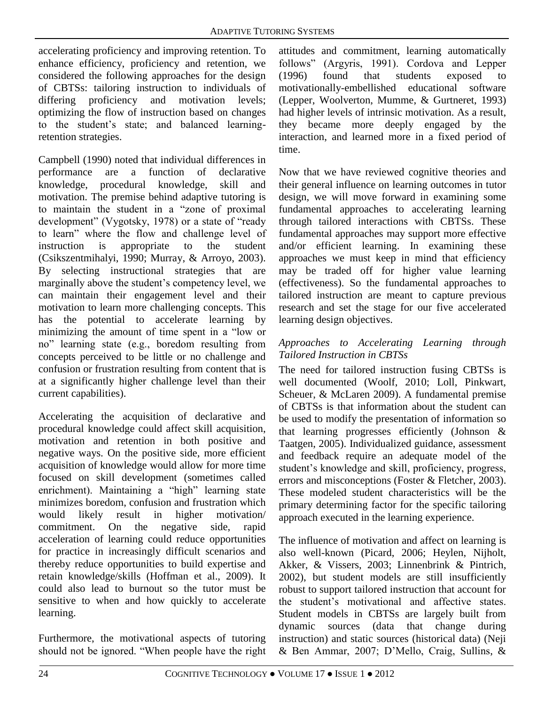accelerating proficiency and improving retention. To enhance efficiency, proficiency and retention, we considered the following approaches for the design of CBTSs: tailoring instruction to individuals of differing proficiency and motivation levels; optimizing the flow of instruction based on changes to the student's state; and balanced learningretention strategies.

Campbell (1990) noted that individual differences in performance are a function of declarative knowledge, procedural knowledge, skill and motivation. The premise behind adaptive tutoring is to maintain the student in a "zone of proximal development" (Vygotsky, 1978) or a state of "ready to learn" where the flow and challenge level of instruction is appropriate to the student (Csikszentmihalyi, 1990; Murray, & Arroyo, 2003). By selecting instructional strategies that are marginally above the student's competency level, we can maintain their engagement level and their motivation to learn more challenging concepts. This has the potential to accelerate learning by minimizing the amount of time spent in a "low or no" learning state (e.g., boredom resulting from concepts perceived to be little or no challenge and confusion or frustration resulting from content that is at a significantly higher challenge level than their current capabilities).

Accelerating the acquisition of declarative and procedural knowledge could affect skill acquisition, motivation and retention in both positive and negative ways. On the positive side, more efficient acquisition of knowledge would allow for more time focused on skill development (sometimes called enrichment). Maintaining a "high" learning state minimizes boredom, confusion and frustration which would likely result in higher motivation/ commitment. On the negative side, rapid acceleration of learning could reduce opportunities for practice in increasingly difficult scenarios and thereby reduce opportunities to build expertise and retain knowledge/skills (Hoffman et al., 2009). It could also lead to burnout so the tutor must be sensitive to when and how quickly to accelerate learning.

Furthermore, the motivational aspects of tutoring should not be ignored. "When people have the right

attitudes and commitment, learning automatically follows" (Argyris, 1991). Cordova and Lepper (1996) found that students exposed to motivationally-embellished educational software (Lepper, Woolverton, Mumme, & Gurtneret, 1993) had higher levels of intrinsic motivation. As a result, they became more deeply engaged by the interaction, and learned more in a fixed period of time.

Now that we have reviewed cognitive theories and their general influence on learning outcomes in tutor design, we will move forward in examining some fundamental approaches to accelerating learning through tailored interactions with CBTSs. These fundamental approaches may support more effective and/or efficient learning. In examining these approaches we must keep in mind that efficiency may be traded off for higher value learning (effectiveness). So the fundamental approaches to tailored instruction are meant to capture previous research and set the stage for our five accelerated learning design objectives.

#### *Approaches to Accelerating Learning through Tailored Instruction in CBTSs*

The need for tailored instruction fusing CBTSs is well documented (Woolf, 2010; Loll, Pinkwart, Scheuer, & McLaren 2009). A fundamental premise of CBTSs is that information about the student can be used to modify the presentation of information so that learning progresses efficiently (Johnson & Taatgen, 2005). Individualized guidance, assessment and feedback require an adequate model of the student's knowledge and skill, proficiency, progress, errors and misconceptions (Foster & Fletcher, 2003). These modeled student characteristics will be the primary determining factor for the specific tailoring approach executed in the learning experience.

The influence of motivation and affect on learning is also well-known (Picard, 2006; Heylen, Nijholt, Akker, & Vissers, 2003; Linnenbrink & Pintrich, 2002), but student models are still insufficiently robust to support tailored instruction that account for the student's motivational and affective states. Student models in CBTSs are largely built from dynamic sources (data that change during instruction) and static sources (historical data) (Neji & Ben Ammar, 2007; D'Mello, Craig, Sullins, &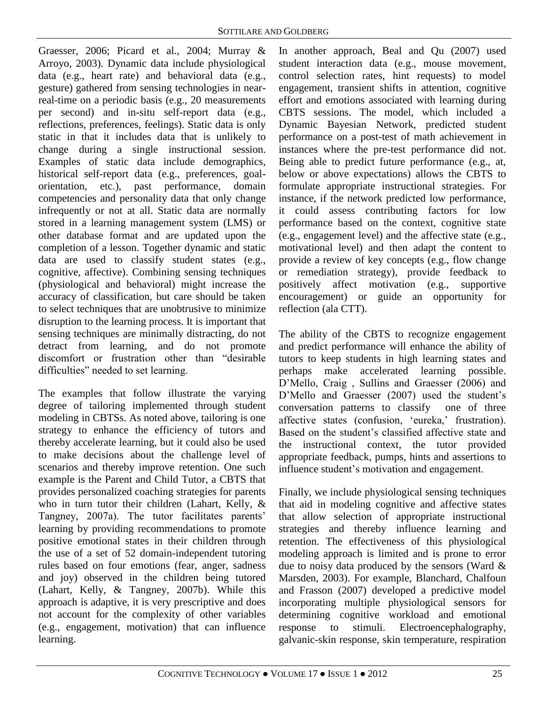Graesser, 2006; Picard et al., 2004; Murray & Arroyo, 2003). Dynamic data include physiological data (e.g., heart rate) and behavioral data (e.g., gesture) gathered from sensing technologies in nearreal-time on a periodic basis (e.g., 20 measurements per second) and in-situ self-report data (e.g., reflections, preferences, feelings). Static data is only static in that it includes data that is unlikely to change during a single instructional session. Examples of static data include demographics, historical self-report data (e.g., preferences, goalorientation, etc.), past performance, domain competencies and personality data that only change infrequently or not at all. Static data are normally stored in a learning management system (LMS) or other database format and are updated upon the completion of a lesson. Together dynamic and static data are used to classify student states (e.g., cognitive, affective). Combining sensing techniques (physiological and behavioral) might increase the accuracy of classification, but care should be taken to select techniques that are unobtrusive to minimize disruption to the learning process. It is important that sensing techniques are minimally distracting, do not detract from learning, and do not promote discomfort or frustration other than "desirable difficulties" needed to set learning.

The examples that follow illustrate the varying degree of tailoring implemented through student modeling in CBTSs. As noted above, tailoring is one strategy to enhance the efficiency of tutors and thereby accelerate learning, but it could also be used to make decisions about the challenge level of scenarios and thereby improve retention. One such example is the Parent and Child Tutor, a CBTS that provides personalized coaching strategies for parents who in turn tutor their children (Lahart, Kelly, & Tangney, 2007a). The tutor facilitates parents' learning by providing recommendations to promote positive emotional states in their children through the use of a set of 52 domain-independent tutoring rules based on four emotions (fear, anger, sadness and joy) observed in the children being tutored (Lahart, Kelly, & Tangney, 2007b). While this approach is adaptive, it is very prescriptive and does not account for the complexity of other variables (e.g., engagement, motivation) that can influence learning.

In another approach, Beal and Qu (2007) used student interaction data (e.g., mouse movement, control selection rates, hint requests) to model engagement, transient shifts in attention, cognitive effort and emotions associated with learning during CBTS sessions. The model, which included a Dynamic Bayesian Network, predicted student performance on a post-test of math achievement in instances where the pre-test performance did not. Being able to predict future performance (e.g., at, below or above expectations) allows the CBTS to formulate appropriate instructional strategies. For instance, if the network predicted low performance, it could assess contributing factors for low performance based on the context, cognitive state (e.g., engagement level) and the affective state (e.g., motivational level) and then adapt the content to provide a review of key concepts (e.g., flow change or remediation strategy), provide feedback to positively affect motivation (e.g., supportive encouragement) or guide an opportunity for reflection (ala CTT).

The ability of the CBTS to recognize engagement and predict performance will enhance the ability of tutors to keep students in high learning states and perhaps make accelerated learning possible. D'Mello, Craig , Sullins and Graesser (2006) and D'Mello and Graesser (2007) used the student's conversation patterns to classify one of three affective states (confusion, 'eureka,' frustration). Based on the student's classified affective state and the instructional context, the tutor provided appropriate feedback, pumps, hints and assertions to influence student's motivation and engagement.

Finally, we include physiological sensing techniques that aid in modeling cognitive and affective states that allow selection of appropriate instructional strategies and thereby influence learning and retention. The effectiveness of this physiological modeling approach is limited and is prone to error due to noisy data produced by the sensors (Ward  $\&$ Marsden, 2003). For example, Blanchard, Chalfoun and Frasson (2007) developed a predictive model incorporating multiple physiological sensors for determining cognitive workload and emotional response to stimuli. Electroencephalography, galvanic-skin response, skin temperature, respiration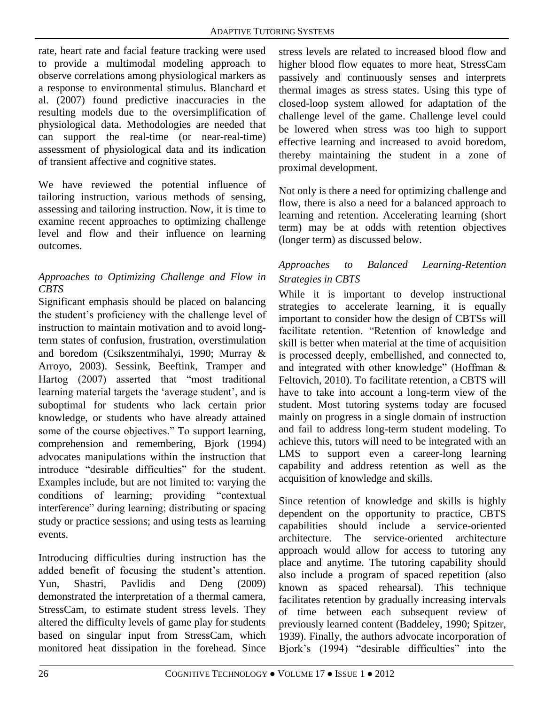rate, heart rate and facial feature tracking were used to provide a multimodal modeling approach to observe correlations among physiological markers as a response to environmental stimulus. Blanchard et al. (2007) found predictive inaccuracies in the resulting models due to the oversimplification of physiological data. Methodologies are needed that can support the real-time (or near-real-time) assessment of physiological data and its indication of transient affective and cognitive states.

We have reviewed the potential influence of tailoring instruction, various methods of sensing, assessing and tailoring instruction. Now, it is time to examine recent approaches to optimizing challenge level and flow and their influence on learning outcomes.

# *Approaches to Optimizing Challenge and Flow in CBTS*

Significant emphasis should be placed on balancing the student's proficiency with the challenge level of instruction to maintain motivation and to avoid longterm states of confusion, frustration, overstimulation and boredom (Csikszentmihalyi, 1990; Murray & Arroyo, 2003). Sessink, Beeftink, Tramper and Hartog (2007) asserted that "most traditional learning material targets the 'average student', and is suboptimal for students who lack certain prior knowledge, or students who have already attained some of the course objectives." To support learning, comprehension and remembering, Bjork (1994) advocates manipulations within the instruction that introduce "desirable difficulties" for the student. Examples include, but are not limited to: varying the conditions of learning; providing "contextual interference" during learning; distributing or spacing study or practice sessions; and using tests as learning events.

Introducing difficulties during instruction has the added benefit of focusing the student's attention. Yun, Shastri, Pavlidis and Deng (2009) demonstrated the interpretation of a thermal camera, StressCam, to estimate student stress levels. They altered the difficulty levels of game play for students based on singular input from StressCam, which monitored heat dissipation in the forehead. Since stress levels are related to increased blood flow and higher blood flow equates to more heat, StressCam passively and continuously senses and interprets thermal images as stress states. Using this type of closed-loop system allowed for adaptation of the challenge level of the game. Challenge level could be lowered when stress was too high to support effective learning and increased to avoid boredom, thereby maintaining the student in a zone of proximal development.

Not only is there a need for optimizing challenge and flow, there is also a need for a balanced approach to learning and retention. Accelerating learning (short term) may be at odds with retention objectives (longer term) as discussed below.

# *Approaches to Balanced Learning-Retention Strategies in CBTS*

While it is important to develop instructional strategies to accelerate learning, it is equally important to consider how the design of CBTSs will facilitate retention. "Retention of knowledge and skill is better when material at the time of acquisition is processed deeply, embellished, and connected to, and integrated with other knowledge" (Hoffman & Feltovich, 2010). To facilitate retention, a CBTS will have to take into account a long-term view of the student. Most tutoring systems today are focused mainly on progress in a single domain of instruction and fail to address long-term student modeling. To achieve this, tutors will need to be integrated with an LMS to support even a career-long learning capability and address retention as well as the acquisition of knowledge and skills.

Since retention of knowledge and skills is highly dependent on the opportunity to practice, CBTS capabilities should include a service-oriented architecture. The service-oriented architecture approach would allow for access to tutoring any place and anytime. The tutoring capability should also include a program of spaced repetition (also known as spaced rehearsal). This technique facilitates retention by gradually increasing intervals of time between each subsequent review of previously learned content (Baddeley, 1990; Spitzer, 1939). Finally, the authors advocate incorporation of Bjork's (1994) "desirable difficulties" into the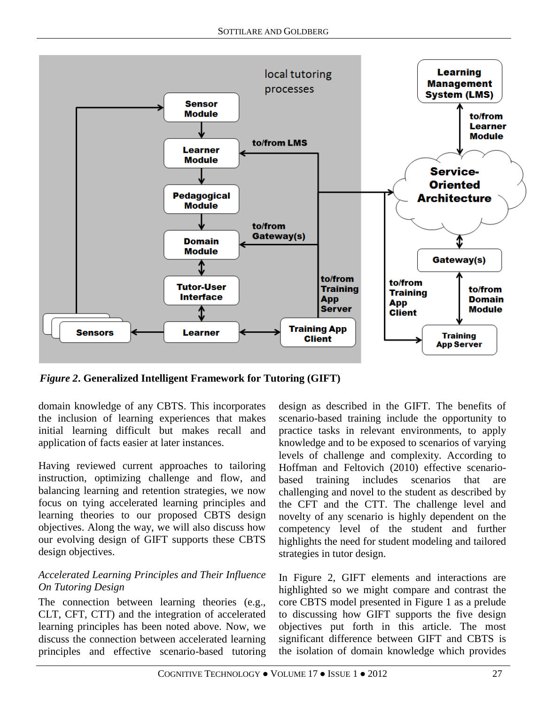

*Figure 2***. Generalized Intelligent Framework for Tutoring (GIFT)**

domain knowledge of any CBTS. This incorporates the inclusion of learning experiences that makes initial learning difficult but makes recall and application of facts easier at later instances.

Having reviewed current approaches to tailoring instruction, optimizing challenge and flow, and balancing learning and retention strategies, we now focus on tying accelerated learning principles and learning theories to our proposed CBTS design objectives. Along the way, we will also discuss how our evolving design of GIFT supports these CBTS design objectives.

## *Accelerated Learning Principles and Their Influence On Tutoring Design*

The connection between learning theories (e.g., CLT, CFT, CTT) and the integration of accelerated learning principles has been noted above. Now, we discuss the connection between accelerated learning principles and effective scenario-based tutoring

design as described in the GIFT. The benefits of scenario-based training include the opportunity to practice tasks in relevant environments, to apply knowledge and to be exposed to scenarios of varying levels of challenge and complexity. According to Hoffman and Feltovich (2010) effective scenariobased training includes scenarios that are challenging and novel to the student as described by the CFT and the CTT. The challenge level and novelty of any scenario is highly dependent on the competency level of the student and further highlights the need for student modeling and tailored strategies in tutor design.

In Figure 2, GIFT elements and interactions are highlighted so we might compare and contrast the core CBTS model presented in Figure 1 as a prelude to discussing how GIFT supports the five design objectives put forth in this article. The most significant difference between GIFT and CBTS is the isolation of domain knowledge which provides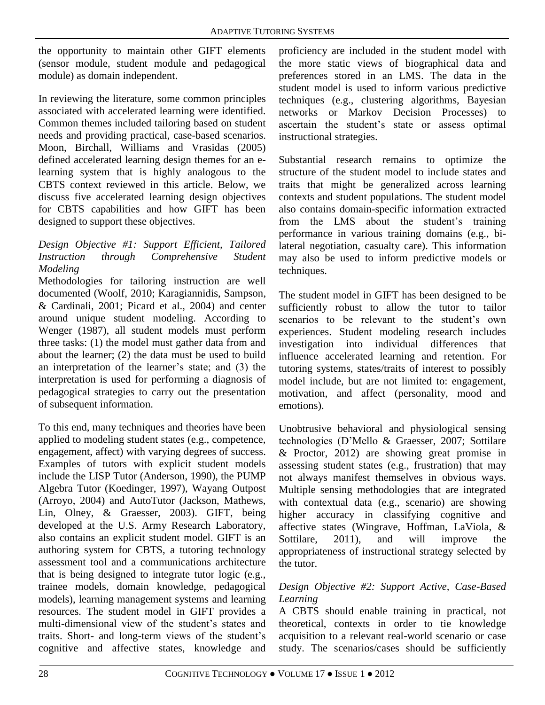the opportunity to maintain other GIFT elements (sensor module, student module and pedagogical module) as domain independent.

In reviewing the literature, some common principles associated with accelerated learning were identified. Common themes included tailoring based on student needs and providing practical, case-based scenarios. Moon, Birchall, Williams and Vrasidas (2005) defined accelerated learning design themes for an elearning system that is highly analogous to the CBTS context reviewed in this article. Below, we discuss five accelerated learning design objectives for CBTS capabilities and how GIFT has been designed to support these objectives.

#### *Design Objective #1: Support Efficient, Tailored Instruction through Comprehensive Student Modeling*

Methodologies for tailoring instruction are well documented (Woolf, 2010; Karagiannidis, Sampson, & Cardinali, 2001; Picard et al., 2004) and center around unique student modeling. According to Wenger (1987), all student models must perform three tasks: (1) the model must gather data from and about the learner; (2) the data must be used to build an interpretation of the learner's state; and (3) the interpretation is used for performing a diagnosis of pedagogical strategies to carry out the presentation of subsequent information.

To this end, many techniques and theories have been applied to modeling student states (e.g., competence, engagement, affect) with varying degrees of success. Examples of tutors with explicit student models include the LISP Tutor (Anderson, 1990), the PUMP Algebra Tutor (Koedinger, 1997), Wayang Outpost (Arroyo, 2004) and AutoTutor (Jackson, Mathews, Lin, Olney, & Graesser, 2003). GIFT, being developed at the U.S. Army Research Laboratory, also contains an explicit student model. GIFT is an authoring system for CBTS, a tutoring technology assessment tool and a communications architecture that is being designed to integrate tutor logic (e.g., trainee models, domain knowledge, pedagogical models), learning management systems and learning resources. The student model in GIFT provides a multi-dimensional view of the student's states and traits. Short- and long-term views of the student's cognitive and affective states, knowledge and

proficiency are included in the student model with the more static views of biographical data and preferences stored in an LMS. The data in the student model is used to inform various predictive techniques (e.g., clustering algorithms, Bayesian networks or Markov Decision Processes) to ascertain the student's state or assess optimal instructional strategies.

Substantial research remains to optimize the structure of the student model to include states and traits that might be generalized across learning contexts and student populations. The student model also contains domain-specific information extracted from the LMS about the student's training performance in various training domains (e.g., bilateral negotiation, casualty care). This information may also be used to inform predictive models or techniques.

The student model in GIFT has been designed to be sufficiently robust to allow the tutor to tailor scenarios to be relevant to the student's own experiences. Student modeling research includes investigation into individual differences that influence accelerated learning and retention. For tutoring systems, states/traits of interest to possibly model include, but are not limited to: engagement, motivation, and affect (personality, mood and emotions).

Unobtrusive behavioral and physiological sensing technologies (D'Mello & Graesser, 2007; Sottilare & Proctor, 2012) are showing great promise in assessing student states (e.g., frustration) that may not always manifest themselves in obvious ways. Multiple sensing methodologies that are integrated with contextual data (e.g., scenario) are showing higher accuracy in classifying cognitive and affective states (Wingrave, Hoffman, LaViola, & Sottilare, 2011), and will improve the appropriateness of instructional strategy selected by the tutor.

#### *Design Objective #2: Support Active, Case-Based Learning*

A CBTS should enable training in practical, not theoretical, contexts in order to tie knowledge acquisition to a relevant real-world scenario or case study. The scenarios/cases should be sufficiently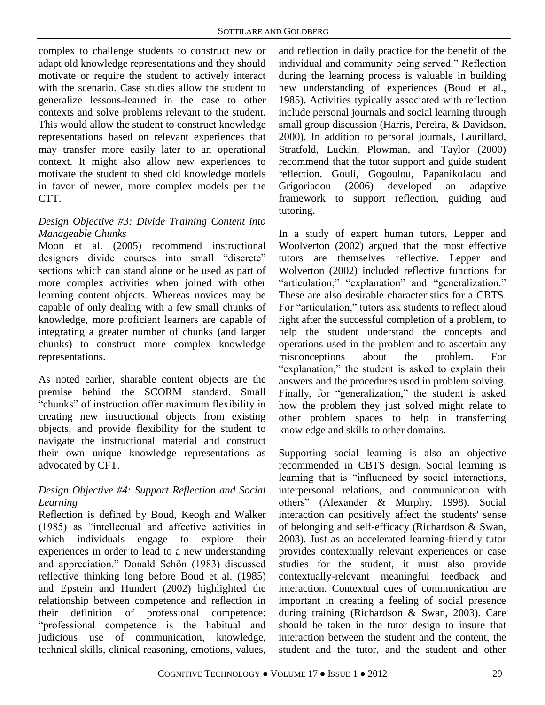complex to challenge students to construct new or adapt old knowledge representations and they should motivate or require the student to actively interact with the scenario. Case studies allow the student to generalize lessons-learned in the case to other contexts and solve problems relevant to the student. This would allow the student to construct knowledge representations based on relevant experiences that may transfer more easily later to an operational context. It might also allow new experiences to motivate the student to shed old knowledge models in favor of newer, more complex models per the CTT.

## *Design Objective #3: Divide Training Content into Manageable Chunks*

Moon et al. (2005) recommend instructional designers divide courses into small "discrete" sections which can stand alone or be used as part of more complex activities when joined with other learning content objects. Whereas novices may be capable of only dealing with a few small chunks of knowledge, more proficient learners are capable of integrating a greater number of chunks (and larger chunks) to construct more complex knowledge representations.

As noted earlier, sharable content objects are the premise behind the SCORM standard. Small "chunks" of instruction offer maximum flexibility in creating new instructional objects from existing objects, and provide flexibility for the student to navigate the instructional material and construct their own unique knowledge representations as advocated by CFT.

# *Design Objective #4: Support Reflection and Social Learning*

Reflection is defined by Boud, Keogh and Walker (1985) as "intellectual and affective activities in which individuals engage to explore their experiences in order to lead to a new understanding and appreciation." Donald Schön (1983) discussed reflective thinking long before Boud et al. (1985) and Epstein and Hundert (2002) highlighted the relationship between competence and reflection in their definition of professional competence: "professional competence is the habitual and judicious use of communication, knowledge, technical skills, clinical reasoning, emotions, values,

and reflection in daily practice for the benefit of the individual and community being served." Reflection during the learning process is valuable in building new understanding of experiences (Boud et al., 1985). Activities typically associated with reflection include personal journals and social learning through small group discussion (Harris, Pereira, & Davidson, 2000). In addition to personal journals, Laurillard, Stratfold, Luckin, Plowman, and Taylor (2000) recommend that the tutor support and guide student reflection. Gouli, Gogoulou, Papanikolaou and Grigoriadou (2006) developed an adaptive framework to support reflection, guiding and tutoring.

In a study of expert human tutors, Lepper and Woolverton (2002) argued that the most effective tutors are themselves reflective. Lepper and Wolverton (2002) included reflective functions for "articulation," "explanation" and "generalization." These are also desirable characteristics for a CBTS. For "articulation," tutors ask students to reflect aloud right after the successful completion of a problem, to help the student understand the concepts and operations used in the problem and to ascertain any misconceptions about the problem. For "explanation," the student is asked to explain their answers and the procedures used in problem solving. Finally, for "generalization," the student is asked how the problem they just solved might relate to other problem spaces to help in transferring knowledge and skills to other domains.

Supporting social learning is also an objective recommended in CBTS design. Social learning is learning that is "influenced by social interactions, interpersonal relations, and communication with others" (Alexander & Murphy, 1998). Social interaction can positively affect the students' sense of belonging and self-efficacy (Richardson & Swan, 2003). Just as an accelerated learning-friendly tutor provides contextually relevant experiences or case studies for the student, it must also provide contextually-relevant meaningful feedback and interaction. Contextual cues of communication are important in creating a feeling of social presence during training (Richardson & Swan, 2003). Care should be taken in the tutor design to insure that interaction between the student and the content, the student and the tutor, and the student and other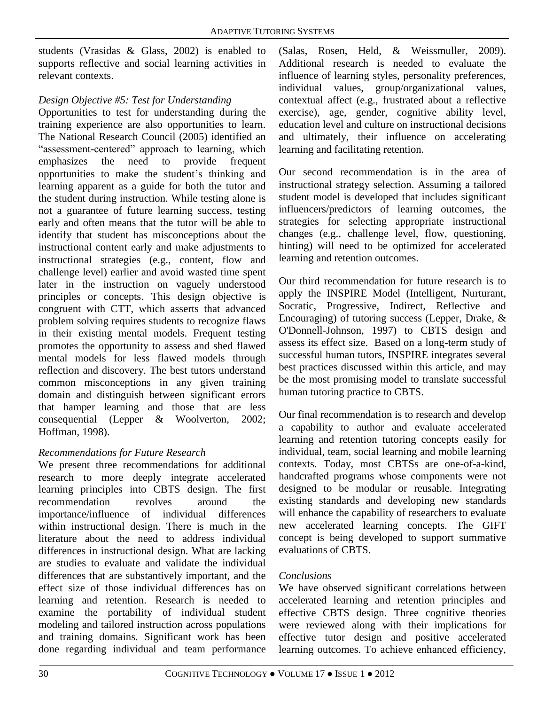students (Vrasidas & Glass, 2002) is enabled to supports reflective and social learning activities in relevant contexts.

## *Design Objective #5: Test for Understanding*

Opportunities to test for understanding during the training experience are also opportunities to learn. The National Research Council (2005) identified an "assessment-centered" approach to learning, which emphasizes the need to provide frequent opportunities to make the student's thinking and learning apparent as a guide for both the tutor and the student during instruction. While testing alone is not a guarantee of future learning success, testing early and often means that the tutor will be able to identify that student has misconceptions about the instructional content early and make adjustments to instructional strategies (e.g., content, flow and challenge level) earlier and avoid wasted time spent later in the instruction on vaguely understood principles or concepts. This design objective is congruent with CTT, which asserts that advanced problem solving requires students to recognize flaws in their existing mental models. Frequent testing promotes the opportunity to assess and shed flawed mental models for less flawed models through reflection and discovery. The best tutors understand common misconceptions in any given training domain and distinguish between significant errors that hamper learning and those that are less consequential (Lepper & Woolverton, 2002; Hoffman, 1998).

# *Recommendations for Future Research*

We present three recommendations for additional research to more deeply integrate accelerated learning principles into CBTS design. The first recommendation revolves around the importance/influence of individual differences within instructional design. There is much in the literature about the need to address individual differences in instructional design. What are lacking are studies to evaluate and validate the individual differences that are substantively important, and the effect size of those individual differences has on learning and retention. Research is needed to examine the portability of individual student modeling and tailored instruction across populations and training domains. Significant work has been done regarding individual and team performance

(Salas, Rosen, Held, & Weissmuller, 2009). Additional research is needed to evaluate the influence of learning styles, personality preferences, individual values, group/organizational values, contextual affect (e.g., frustrated about a reflective exercise), age, gender, cognitive ability level, education level and culture on instructional decisions and ultimately, their influence on accelerating learning and facilitating retention.

Our second recommendation is in the area of instructional strategy selection. Assuming a tailored student model is developed that includes significant influencers/predictors of learning outcomes, the strategies for selecting appropriate instructional changes (e.g., challenge level, flow, questioning, hinting) will need to be optimized for accelerated learning and retention outcomes.

Our third recommendation for future research is to apply the INSPIRE Model (Intelligent, Nurturant, Socratic, Progressive, Indirect, Reflective and Encouraging) of tutoring success (Lepper, Drake, & O'Donnell-Johnson, 1997) to CBTS design and assess its effect size. Based on a long-term study of successful human tutors, INSPIRE integrates several best practices discussed within this article, and may be the most promising model to translate successful human tutoring practice to CBTS.

Our final recommendation is to research and develop a capability to author and evaluate accelerated learning and retention tutoring concepts easily for individual, team, social learning and mobile learning contexts. Today, most CBTSs are one-of-a-kind, handcrafted programs whose components were not designed to be modular or reusable. Integrating existing standards and developing new standards will enhance the capability of researchers to evaluate new accelerated learning concepts. The GIFT concept is being developed to support summative evaluations of CBTS.

# *Conclusions*

We have observed significant correlations between accelerated learning and retention principles and effective CBTS design. Three cognitive theories were reviewed along with their implications for effective tutor design and positive accelerated learning outcomes. To achieve enhanced efficiency,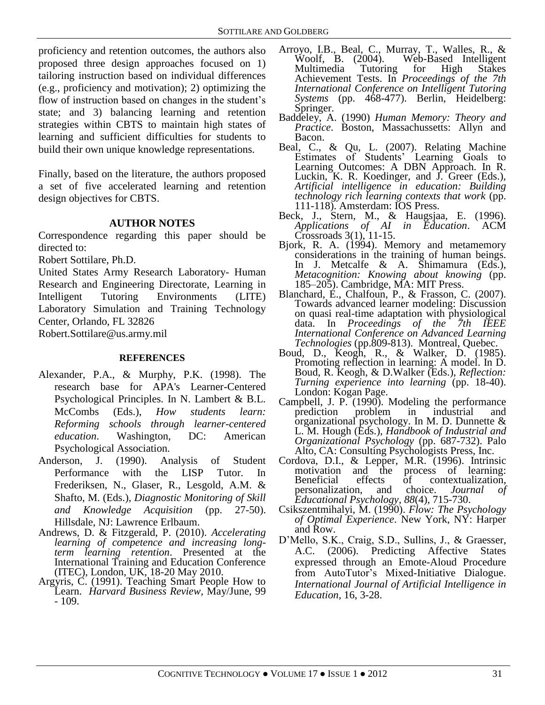proficiency and retention outcomes, the authors also proposed three design approaches focused on 1) tailoring instruction based on individual differences (e.g., proficiency and motivation); 2) optimizing the flow of instruction based on changes in the student's state; and 3) balancing learning and retention strategies within CBTS to maintain high states of learning and sufficient difficulties for students to build their own unique knowledge representations.

Finally, based on the literature, the authors proposed a set of five accelerated learning and retention design objectives for CBTS.

#### **AUTHOR NOTES**

Correspondence regarding this paper should be directed to:

Robert Sottilare, Ph.D.

United States Army Research Laboratory- Human Research and Engineering Directorate, Learning in Intelligent Tutoring Environments (LITE) Laboratory Simulation and Training Technology Center, Orlando, FL 32826

Robert.Sottilare@us.army.mil

#### **REFERENCES**

- Alexander, P.A., & Murphy, P.K. (1998). The research base for APA's Learner-Centered Psychological Principles. In N. Lambert & B.L. McCombs (Eds.), *How students learn: Reforming schools through learner-centered education*. Washington, DC: American Psychological Association.
- Anderson, J. (1990). Analysis of Student Performance with the LISP Tutor. In Frederiksen, N., Glaser, R., Lesgold, A.M. & Shafto, M. (Eds.), *Diagnostic Monitoring of Skill and Knowledge Acquisition* (pp. 27-50). Hillsdale, NJ: Lawrence Erlbaum.
- Andrews, D. & Fitzgerald, P. (2010). *Accelerating learning of competence and increasing longterm learning retention*. Presented at the International Training and Education Conference (ITEC), London, UK, 18-20 May 2010.
- Argyris, C. (1991). Teaching Smart People How to Learn. *Harvard Business Review*, May/June, 99 - 109.
- Arroyo, I.B., Beal, C., Murray, T., Walles, R., & Woolf, B. (2004). Web-Based Intelligent for High Stakes Achievement Tests. In *Proceedings of the 7th International Conference on Intelligent Tutoring*  Systems (pp. 468-477). Berlin, Heidelberg: Springer.
- Baddeley, A. (1990) *Human Memory: Theory and*  Practice. Boston, Massachussetts: Allyn and Bacon.
- Beal, C., & Qu, L. (2007). Relating Machine Estimates of Students' Learning Goals to Learning Outcomes: A DBN Approach. In R. Luckin, K. R. Koedinger, and J. Greer (Eds.), *Artificial intelligence in education: Building technology rich learning contexts that work* (pp. 111-118). Amsterdam: IOS Press.
- Beck, J., Stern, M., & Haugsjaa, E. (1996). *Applications of AI in Education*. ACM Crossroads  $3(1)$ , 11-15.
- Bjork, R. A. (1994). Memory and metamemory considerations in the training of human beings. In J. Metcalfe & A. Shimamura (Eds.), *Metacognition: Knowing about knowing* (pp. 185–205). Cambridge, MA: MIT Press.
- Blanchard, E., Chalfoun, P., & Frasson, C. (2007). Towards advanced learner modeling: Discussion on quasi real-time adaptation with physiological data. In *Proceedings of the 7th IEEE International Conference on Advanced Learning Technologies* (pp.809-813). Montreal, Quebec.
- Boud, D., Keogh, R., & Walker, D. (1985). Promoting reflection in learning: A model. In D. Boud, R. Keogh, & D.Walker (Eds.), *Reflection: Turning experience into learning* (pp. 18-40). London: Kogan Page.
- Campbell, J. P. (1990). Modeling the performance<br>prediction problem in industrial and in industrial organizational psychology. In M. D. Dunnette & L. M. Hough (Eds.), *Handbook of Industrial and Organizational Psychology* (pp. 687-732). Palo Alto, CA: Consulting Psychologists Press, Inc.
- Cordova, D.I., & Lepper, M.R. (1996). Intrinsic motivation and the process of learning:<br>Beneficial effects of contextualization, ets of contextualization,<br>and choice. *Journal of* personalization, and choice. *Journal of Educational Psychology, 88*(4), 715-730.
- Csikszentmihalyi, M. (1990). *Flow: The Psychology of Optimal Experience*. New York, NY: Harper and Row.
- D'Mello, S.K., Craig, S.D., Sullins, J., & Graesser, A.C. (2006). Predicting Affective States expressed through an Emote-Aloud Procedure from AutoTutor's Mixed-Initiative Dialogue. *International Journal of Artificial Intelligence in Education,* 16, 3-28.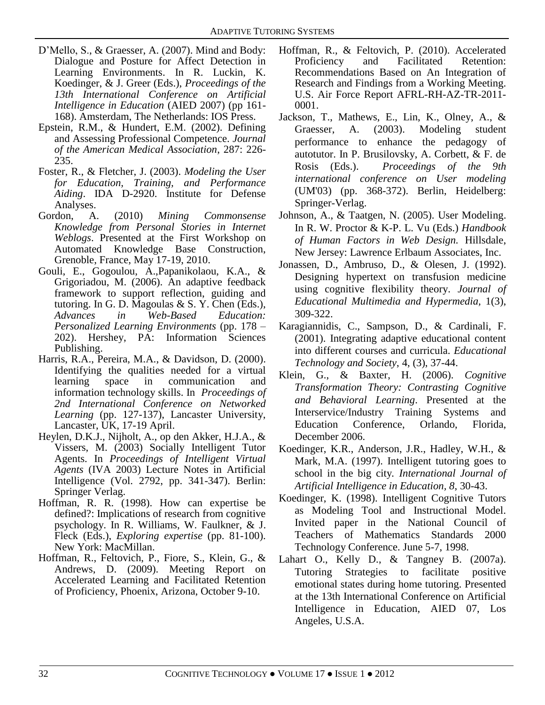- D'Mello, S., & Graesser, A. (2007). Mind and Body: Dialogue and Posture for Affect Detection in Learning Environments. In R. Luckin, K. Koedinger, & J. Greer (Eds.), *Proceedings of the 13th International Conference on Artificial Intelligence in Education* (AIED 2007) (pp 161- 168). Amsterdam, The Netherlands: IOS Press.
- Epstein, R.M., & Hundert, E.M. (2002). Defining and Assessing Professional Competence. *Journal of the American Medical Association*, 287: 226- 235.
- Foster, R., & Fletcher, J. (2003). *Modeling the User for Education, Training, and Performance Aiding*. IDA D-2920. Institute for Defense Analyses.
- Gordon, A. (2010) *Mining Commonsense Knowledge from Personal Stories in Internet Weblogs*. Presented at the First Workshop on Automated Knowledge Base Construction, Grenoble, France, May 17-19, 2010.
- Gouli, E., Gogoulou, A.,Papanikolaou, K.A., & Grigoriadou, M. (2006). An adaptive feedback framework to support reflection, guiding and tutoring. In G. D. Magoulas  $& S. Y.$  Chen (Eds.), *Advances in Web-Based Education: Personalized Learning Environments* (pp. 178 – 202). Hershey, PA: Information Sciences Publishing.
- Harris, R.A., Pereira, M.A., & Davidson, D. (2000). Identifying the qualities needed for a virtual learning space in communication and information technology skills. In *Proceedings of 2nd International Conference on Networked Learning* (pp. 127-137), Lancaster University, Lancaster, UK, 17-19 April.
- Heylen, D.K.J., Nijholt, A., op den Akker, H.J.A., & Vissers, M. (2003) Socially Intelligent Tutor Agents. In *Proceedings of Intelligent Virtual Agents* (IVA 2003) Lecture Notes in Artificial Intelligence (Vol. 2792, pp. 341-347). Berlin: Springer Verlag.
- Hoffman, R. R. (1998). How can expertise be defined?: Implications of research from cognitive psychology. In R. Williams, W. Faulkner, & J. Fleck (Eds.), *Exploring expertise* (pp. 81-100). New York: MacMillan.
- Hoffman, R., Feltovich, P., Fiore, S., Klein, G., & Andrews, D. (2009). Meeting Report on Accelerated Learning and Facilitated Retention of Proficiency, Phoenix, Arizona, October 9-10.
- Hoffman, R., & Feltovich, P. (2010). Accelerated Proficiency and Facilitated Retention: Recommendations Based on An Integration of Research and Findings from a Working Meeting. U.S. Air Force Report AFRL-RH-AZ-TR-2011- 0001.
- Jackson, T., Mathews, E., Lin, K., Olney, A., & Graesser, A. (2003). Modeling student performance to enhance the pedagogy of autotutor. In P. Brusilovsky, A. Corbett, & F. de Rosis (Eds.). *Proceedings of the 9th international conference on User modeling* (UM'03) (pp. 368-372). Berlin, Heidelberg: Springer-Verlag.
- Johnson, A., & Taatgen, N. (2005). User Modeling. In R. W. Proctor & K-P. L. Vu (Eds.) *Handbook of Human Factors in Web Design.* Hillsdale, New Jersey: Lawrence Erlbaum Associates, Inc.
- Jonassen, D., Ambruso, D., & Olesen, J. (1992). Designing hypertext on transfusion medicine using cognitive flexibility theory. *Journal of Educational Multimedia and Hypermedia,* 1(3), 309-322.
- Karagiannidis, C., Sampson, D., & Cardinali, F. (2001). Integrating adaptive educational content into different courses and curricula. *Educational Technology and Society*, 4, (3), 37-44.
- Klein, G., & Baxter, H. (2006). *Cognitive Transformation Theory: Contrasting Cognitive and Behavioral Learning*. Presented at the Interservice/Industry Training Systems and Education Conference, Orlando, Florida, December 2006.
- Koedinger, K.R., Anderson, J.R., Hadley, W.H., & Mark, M.A. (1997). Intelligent tutoring goes to school in the big city*. International Journal of Artificial Intelligence in Education, 8*, 30-43.
- Koedinger, K. (1998). Intelligent Cognitive Tutors as Modeling Tool and Instructional Model. Invited paper in the National Council of Teachers of Mathematics Standards 2000 Technology Conference. June 5-7, 1998.
- Lahart O., Kelly D., & Tangney B. (2007a). Tutoring Strategies to facilitate positive emotional states during home tutoring. Presented at the 13th International Conference on Artificial Intelligence in Education, AIED 07, Los Angeles, U.S.A.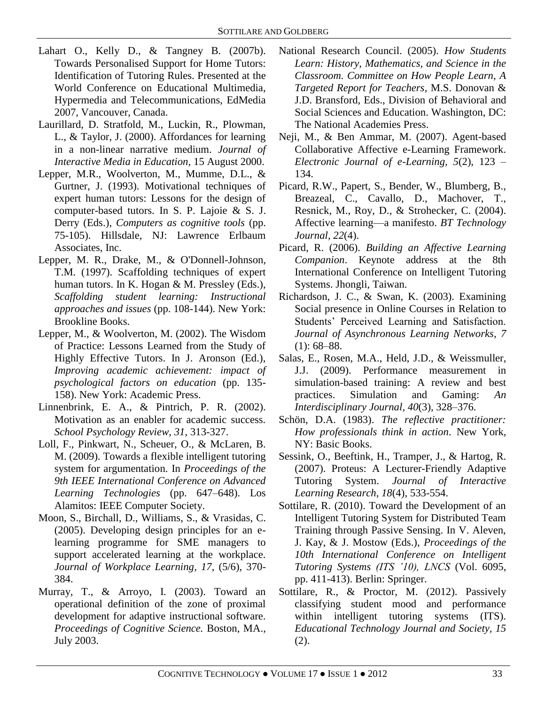- Lahart O., Kelly D., & Tangney B. (2007b). Towards Personalised Support for Home Tutors: Identification of Tutoring Rules. Presented at the World Conference on Educational Multimedia, Hypermedia and Telecommunications, EdMedia 2007, Vancouver, Canada.
- Laurillard, D. Stratfold, M., Luckin, R., Plowman, L., & Taylor, J. (2000). Affordances for learning in a non-linear narrative medium. *Journal of Interactive Media in Education,* 15 August 2000.
- Lepper, M.R., Woolverton, M., Mumme, D.L., & Gurtner, J. (1993). Motivational techniques of expert human tutors: Lessons for the design of computer-based tutors. In S. P. Lajoie & S. J. Derry (Eds.), *Computers as cognitive tools* (pp. 75-105). Hillsdale, NJ: Lawrence Erlbaum Associates, Inc.
- Lepper, M. R., Drake, M., & O'Donnell-Johnson, T.M. (1997). Scaffolding techniques of expert human tutors. In K. Hogan & M. Pressley (Eds.), *Scaffolding student learning: Instructional approaches and issues* (pp. 108-144). New York: Brookline Books.
- Lepper, M., & Woolverton, M. (2002). The Wisdom of Practice: Lessons Learned from the Study of Highly Effective Tutors. In J. Aronson (Ed.), *Improving academic achievement: impact of psychological factors on education* (pp. 135- 158). New York: Academic Press.
- Linnenbrink, E. A., & Pintrich, P. R. (2002). Motivation as an enabler for academic success. *School Psychology Review, 31*, 313-327.
- Loll, F., Pinkwart, N., Scheuer, O., & McLaren, B. M. (2009). Towards a flexible intelligent tutoring system for argumentation. In *Proceedings of the 9th IEEE International Conference on Advanced Learning Technologies* (pp. 647–648). Los Alamitos: IEEE Computer Society.
- Moon, S., Birchall, D., Williams, S., & Vrasidas, C. (2005). Developing design principles for an elearning programme for SME managers to support accelerated learning at the workplace. *Journal of Workplace Learning, 17*, (5/6), 370- 384.
- Murray, T., & Arroyo, I. (2003). Toward an operational definition of the zone of proximal development for adaptive instructional software. *Proceedings of Cognitive Science.* Boston, MA., July 2003.
- National Research Council. (2005). *How Students Learn: History, Mathematics, and Science in the Classroom. Committee on How People Learn, A Targeted Report for Teachers*, M.S. Donovan & J.D. Bransford, Eds., Division of Behavioral and Social Sciences and Education. Washington, DC: The National Academies Press.
- Neji, M., & Ben Ammar, M. (2007). Agent-based Collaborative Affective e-Learning Framework. *Electronic Journal of e-Learning, 5*(2), 123 – 134.
- Picard, R.W., Papert, S., Bender, W., Blumberg, B., Breazeal, C., Cavallo, D., Machover, T., Resnick, M., Roy, D., & Strohecker, C. (2004). Affective learning—a manifesto. *BT Technology Journal, 22*(4).
- Picard, R. (2006). *Building an Affective Learning Companion*. Keynote address at the 8th International Conference on Intelligent Tutoring Systems. Jhongli, Taiwan.
- Richardson, J. C., & Swan, K. (2003). Examining Social presence in Online Courses in Relation to Students' Perceived Learning and Satisfaction. *Journal of Asynchronous Learning Networks, 7*  $(1): 68 - 88.$
- Salas, E., Rosen, M.A., Held, J.D., & Weissmuller, J.J. (2009). Performance measurement in simulation-based training: A review and best practices. Simulation and Gaming: *An Interdisciplinary Journal*, *40*(3), 328–376.
- Schön, D.A. (1983). *The reflective practitioner: How professionals think in action*. New York, NY: Basic Books.
- Sessink, O., Beeftink, H., Tramper, J., & Hartog, R. (2007). Proteus: A Lecturer-Friendly Adaptive Tutoring System. *Journal of Interactive Learning Research, 18*(4), 533-554.
- Sottilare, R. (2010). Toward the Development of an Intelligent Tutoring System for Distributed Team Training through Passive Sensing. In V. Aleven, J. Kay, & J. Mostow (Eds.), *Proceedings of the 10th International Conference on Intelligent Tutoring Systems (ITS '10), LNCS* (Vol. 6095, pp. 411-413). Berlin: Springer.
- Sottilare, R., & Proctor, M. (2012). Passively classifying student mood and performance within intelligent tutoring systems (ITS). *Educational Technology Journal and Society, 15* (2).